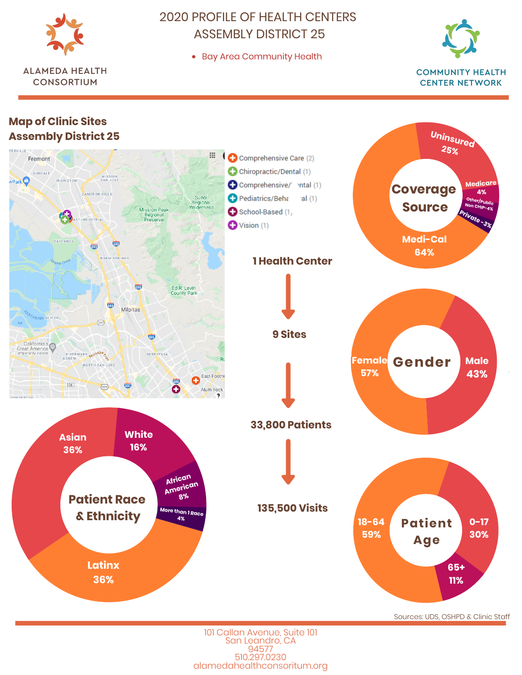

**ALAMEDA HEALTH CONSORTIUM** 

## 2020 PROFILE OF HEALTH CENTERS ASSEMBLY DISTRICT 25

Bay Area Community Health





101 Callan Avenue, Suite 101 San Leandro, CA 94577 510.297.0230 alamedahealthconsoritum.org Sources: UDS, OSHPD & Clinic Staff